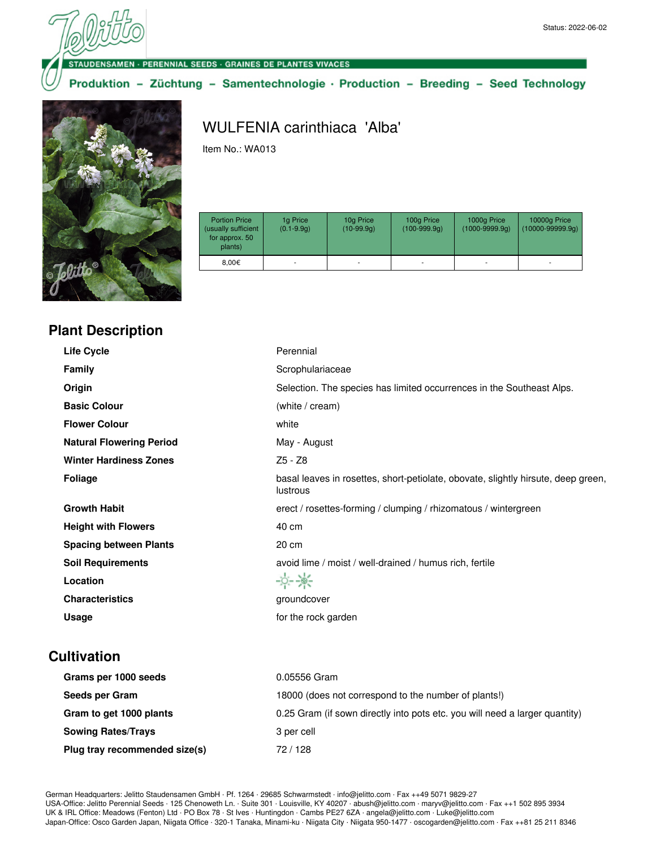**DENSAMEN · PERENNIAL SEEDS · GRAINES DE PLANTES VIVACES** 

Produktion - Züchtung - Samentechnologie · Production - Breeding - Seed Technology



# WULFENIA carinthiaca 'Alba'

Item No.: WA013

| <b>Portion Price</b><br>(usually sufficient<br>for approx. 50<br>plants) | 1g Price<br>$(0.1 - 9.9q)$ | 10g Price<br>$(10-99.9q)$ | 100g Price<br>$(100-999.9q)$ | 1000g Price<br>$(1000 - 9999.9q)$ | 10000g Price<br>$(10000 - 99999.9q)$ |
|--------------------------------------------------------------------------|----------------------------|---------------------------|------------------------------|-----------------------------------|--------------------------------------|
| 8.00€                                                                    |                            | ۰                         |                              |                                   | ۰                                    |

#### **Plant Description**

| <b>Life Cycle</b>               | Perennial                                                                                     |
|---------------------------------|-----------------------------------------------------------------------------------------------|
| <b>Family</b>                   | Scrophulariaceae                                                                              |
| Origin                          | Selection. The species has limited occurrences in the Southeast Alps.                         |
| <b>Basic Colour</b>             | (white / cream)                                                                               |
| <b>Flower Colour</b>            | white                                                                                         |
| <b>Natural Flowering Period</b> | May - August                                                                                  |
| <b>Winter Hardiness Zones</b>   | Z5 - Z8                                                                                       |
| Foliage                         | basal leaves in rosettes, short-petiolate, obovate, slightly hirsute, deep green,<br>lustrous |
| <b>Growth Habit</b>             | erect / rosettes-forming / clumping / rhizomatous / wintergreen                               |
| <b>Height with Flowers</b>      | 40 cm                                                                                         |
| <b>Spacing between Plants</b>   | 20 cm                                                                                         |
| <b>Soil Requirements</b>        | avoid lime / moist / well-drained / humus rich, fertile                                       |
| Location                        | $-0 - 86$                                                                                     |
| <b>Characteristics</b>          | groundcover                                                                                   |
| Usage                           | for the rock garden                                                                           |
|                                 |                                                                                               |

#### **Cultivation**

| Grams per 1000 seeds          | 0.05556 Gram                                                                |
|-------------------------------|-----------------------------------------------------------------------------|
| Seeds per Gram                | 18000 (does not correspond to the number of plants!)                        |
| Gram to get 1000 plants       | 0.25 Gram (if sown directly into pots etc. you will need a larger quantity) |
| <b>Sowing Rates/Trays</b>     | 3 per cell                                                                  |
| Plug tray recommended size(s) | 72/128                                                                      |